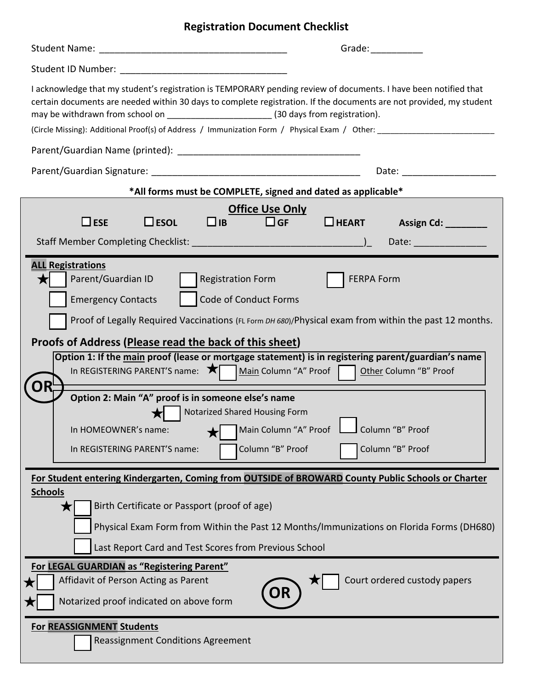# **Registration Document Checklist**

|                                                                                                                                                                                                                                                                                                                                                                                                                                                                                                                                                                                                                                                                                                                                                              | Grade: The Contract of the Contract of the Contract of the Contract of the Contract of the Contract of the Contract of the Contract of the Contract of the Contract of the Contract of the Contract of the Contract of the Con |
|--------------------------------------------------------------------------------------------------------------------------------------------------------------------------------------------------------------------------------------------------------------------------------------------------------------------------------------------------------------------------------------------------------------------------------------------------------------------------------------------------------------------------------------------------------------------------------------------------------------------------------------------------------------------------------------------------------------------------------------------------------------|--------------------------------------------------------------------------------------------------------------------------------------------------------------------------------------------------------------------------------|
|                                                                                                                                                                                                                                                                                                                                                                                                                                                                                                                                                                                                                                                                                                                                                              |                                                                                                                                                                                                                                |
| I acknowledge that my student's registration is TEMPORARY pending review of documents. I have been notified that<br>certain documents are needed within 30 days to complete registration. If the documents are not provided, my student<br>may be withdrawn from school on ___________________________(30 days from registration).<br>(Circle Missing): Additional Proof(s) of Address / Immunization Form / Physical Exam / Other:                                                                                                                                                                                                                                                                                                                          |                                                                                                                                                                                                                                |
|                                                                                                                                                                                                                                                                                                                                                                                                                                                                                                                                                                                                                                                                                                                                                              |                                                                                                                                                                                                                                |
|                                                                                                                                                                                                                                                                                                                                                                                                                                                                                                                                                                                                                                                                                                                                                              |                                                                                                                                                                                                                                |
| *All forms must be COMPLETE, signed and dated as applicable*                                                                                                                                                                                                                                                                                                                                                                                                                                                                                                                                                                                                                                                                                                 |                                                                                                                                                                                                                                |
| <b>Office Use Only</b>                                                                                                                                                                                                                                                                                                                                                                                                                                                                                                                                                                                                                                                                                                                                       |                                                                                                                                                                                                                                |
| $\Box$ ib<br>$\Box$ GF<br>$\Box$ ESE<br>$\square$ ESOL                                                                                                                                                                                                                                                                                                                                                                                                                                                                                                                                                                                                                                                                                                       | $\Box$ HEART<br>Assign Cd: 1997-1998                                                                                                                                                                                           |
|                                                                                                                                                                                                                                                                                                                                                                                                                                                                                                                                                                                                                                                                                                                                                              | Date: ________________                                                                                                                                                                                                         |
| <b>ALL Registrations</b><br>Parent/Guardian ID<br><b>Registration Form</b><br><b>FERPA Form</b><br>Code of Conduct Forms<br><b>Emergency Contacts</b><br>Proof of Legally Required Vaccinations (FL Form DH 680)/Physical exam from within the past 12 months.<br>Proofs of Address (Please read the back of this sheet)<br>Option 1: If the main proof (lease or mortgage statement) is in registering parent/guardian's name<br>In REGISTERING PARENT'S name: X   Main Column "A" Proof<br>Other Column "B" Proof<br>Option 2: Main "A" proof is in someone else's name<br><b>Notarized Shared Housing Form</b><br>Main Column "A" Proof Lolumn "B" Proof<br>In HOMEOWNER's name:<br>Column "B" Proof<br>Column "B" Proof<br>In REGISTERING PARENT'S name: |                                                                                                                                                                                                                                |
| For Student entering Kindergarten, Coming from OUTSIDE of BROWARD County Public Schools or Charter<br><b>Schools</b><br>Birth Certificate or Passport (proof of age)<br>Physical Exam Form from Within the Past 12 Months/Immunizations on Florida Forms (DH680)<br>Last Report Card and Test Scores from Previous School<br>For LEGAL GUARDIAN as "Registering Parent"<br>Court ordered custody papers<br>Affidavit of Person Acting as Parent<br><b>DR</b><br>Notarized proof indicated on above form                                                                                                                                                                                                                                                      |                                                                                                                                                                                                                                |
| For REASSIGNMENT Students<br><b>Reassignment Conditions Agreement</b>                                                                                                                                                                                                                                                                                                                                                                                                                                                                                                                                                                                                                                                                                        |                                                                                                                                                                                                                                |